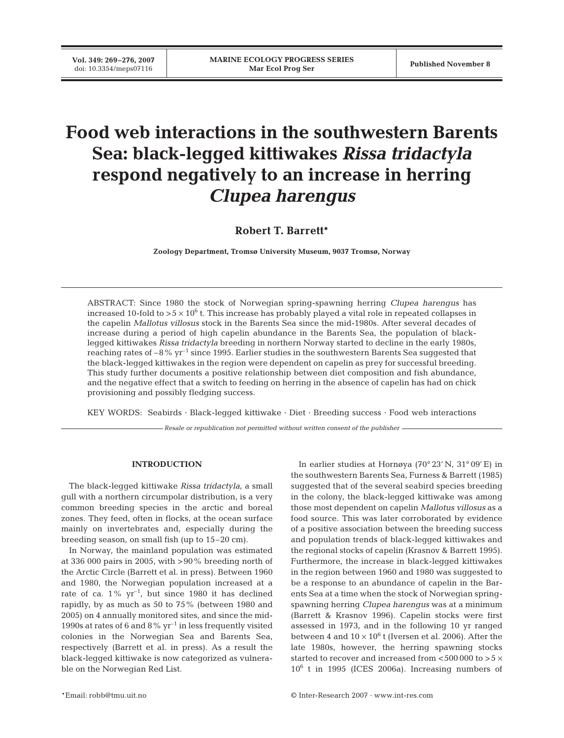**Vol. 349: 269–276, 2007**

# **Food web interactions in the southwestern Barents Sea: black-legged kittiwakes** *Rissa tridactyla* **respond negatively to an increase in herring** *Clupea harengus*

**Robert T. Barrett\***

**Zoology Department, Tromsø University Museum, 9037 Tromsø, Norway**

ABSTRACT: Since 1980 the stock of Norwegian spring-spawning herring *Clupea harengus* has increased 10-fold to  $>5\times10^{6}$  t. This increase has probably played a vital role in repeated collapses in the capelin *Mallotus villosus* stock in the Barents Sea since the mid-1980s. After several decades of increase during a period of high capelin abundance in the Barents Sea, the population of blacklegged kittiwakes *Rissa tridactyla* breeding in northern Norway started to decline in the early 1980s, reaching rates of  $-8\%$  yr<sup>-1</sup> since 1995. Earlier studies in the southwestern Barents Sea suggested that the black-legged kittiwakes in the region were dependent on capelin as prey for successful breeding. This study further documents a positive relationship between diet composition and fish abundance, and the negative effect that a switch to feeding on herring in the absence of capelin has had on chick provisioning and possibly fledging success.

KEY WORDS: Seabirds · Black-legged kittiwake · Diet · Breeding success · Food web interactions

*Resale or republication not permitted without written consent of the publisher*

## **INTRODUCTION**

The black-legged kittiwake *Rissa tridactyla*, a small gull with a northern circumpolar distribution, is a very common breeding species in the arctic and boreal zones. They feed, often in flocks, at the ocean surface mainly on invertebrates and, especially during the breeding season, on small fish (up to 15–20 cm).

In Norway, the mainland population was estimated at 336 000 pairs in 2005, with >90% breeding north of the Arctic Circle (Barrett et al. in press). Between 1960 and 1980, the Norwegian population increased at a rate of ca.  $1\%$  yr<sup>-1</sup>, but since 1980 it has declined rapidly, by as much as 50 to 75% (between 1980 and 2005) on 4 annually monitored sites, and since the mid-1990s at rates of 6 and 8%  $\gamma r^{-1}$  in less frequently visited colonies in the Norwegian Sea and Barents Sea, respectively (Barrett et al. in press). As a result the black-legged kittiwake is now categorized as vulnerable on the Norwegian Red List.

In earlier studies at Hornøya (70° 23' N, 31° 09' E) in the southwestern Barents Sea, Furness & Barrett (1985) suggested that of the several seabird species breeding in the colony, the black-legged kittiwake was among those most dependent on capelin *Mallotus villosus* as a food source. This was later corroborated by evidence of a positive association between the breeding success and population trends of black-legged kittiwakes and the regional stocks of capelin (Krasnov & Barrett 1995). Furthermore, the increase in black-legged kittiwakes in the region between 1960 and 1980 was suggested to be a response to an abundance of capelin in the Barents Sea at a time when the stock of Norwegian springspawning herring *Clupea harengus* was at a minimum (Barrett & Krasnov 1996). Capelin stocks were first assessed in 1973, and in the following 10 yr ranged between 4 and  $10 \times 10^6$  t (Iversen et al. 2006). After the late 1980s, however, the herring spawning stocks started to recover and increased from  $<$  500 000 to  $>$  5  $\times$  $10^6$  t in 1995 (ICES 2006a). Increasing numbers of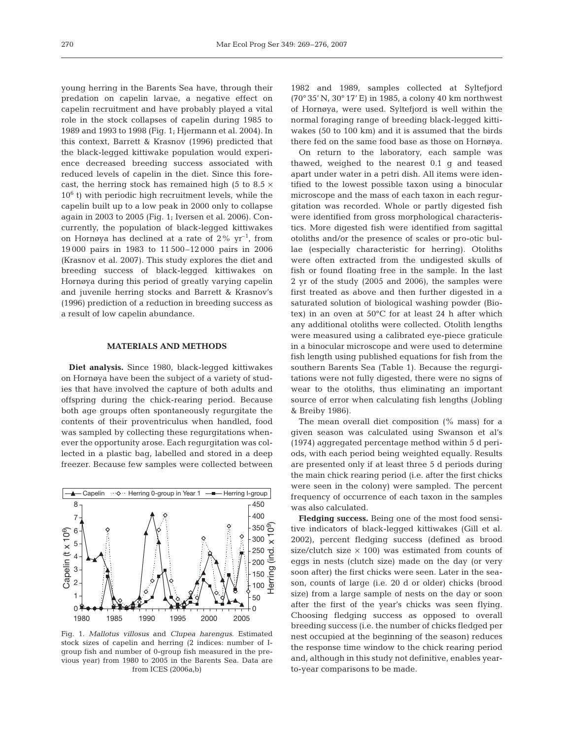young herring in the Barents Sea have, through their predation on capelin larvae, a negative effect on capelin recruitment and have probably played a vital role in the stock collapses of capelin during 1985 to 1989 and 1993 to 1998 (Fig. 1; Hjermann et al. 2004). In this context, Barrett & Krasnov (1996) predicted that the black-legged kittiwake population would experience decreased breeding success associated with reduced levels of capelin in the diet. Since this forecast, the herring stock has remained high (5 to 8.5  $\times$  $10<sup>6</sup>$  t) with periodic high recruitment levels, while the capelin built up to a low peak in 2000 only to collapse again in 2003 to 2005 (Fig. 1; Iversen et al. 2006). Concurrently, the population of black-legged kittiwakes on Hornøya has declined at a rate of  $2\%$  yr<sup>-1</sup>, from 19 000 pairs in 1983 to 11 500–12 000 pairs in 2006 (Krasnov et al. 2007). This study explores the diet and breeding success of black-legged kittiwakes on Hornøya during this period of greatly varying capelin and juvenile herring stocks and Barrett & Krasnov's (1996) prediction of a reduction in breeding success as a result of low capelin abundance.

## **MATERIALS AND METHODS**

**Diet analysis.** Since 1980, black-legged kittiwakes on Hornøya have been the subject of a variety of studies that have involved the capture of both adults and offspring during the chick-rearing period. Because both age groups often spontaneously regurgitate the contents of their proventriculus when handled, food was sampled by collecting these regurgitations whenever the opportunity arose. Each regurgitation was collected in a plastic bag, labelled and stored in a deep freezer. Because few samples were collected between



Fig. 1. *Mallotus villosus* and *Clupea harengus*. Estimated stock sizes of capelin and herring (2 indices: number of Igroup fish and number of 0-group fish measured in the previous year) from 1980 to 2005 in the Barents Sea. Data are from ICES (2006a,b)

1982 and 1989, samples collected at Syltefjord (70° 35' N, 30° 17' E) in 1985, a colony 40 km northwest of Hornøya, were used. Syltefjord is well within the normal foraging range of breeding black-legged kittiwakes (50 to 100 km) and it is assumed that the birds there fed on the same food base as those on Hornøya.

On return to the laboratory, each sample was thawed, weighed to the nearest 0.1 g and teased apart under water in a petri dish. All items were identified to the lowest possible taxon using a binocular microscope and the mass of each taxon in each regurgitation was recorded. Whole or partly digested fish were identified from gross morphological characteristics. More digested fish were identified from sagittal otoliths and/or the presence of scales or pro-otic bullae (especially characteristic for herring). Otoliths were often extracted from the undigested skulls of fish or found floating free in the sample. In the last 2 yr of the study (2005 and 2006), the samples were first treated as above and then further digested in a saturated solution of biological washing powder (Biotex) in an oven at 50°C for at least 24 h after which any additional otoliths were collected. Otolith lengths were measured using a calibrated eye-piece graticule in a binocular microscope and were used to determine fish length using published equations for fish from the southern Barents Sea (Table 1). Because the regurgitations were not fully digested, there were no signs of wear to the otoliths, thus eliminating an important source of error when calculating fish lengths (Jobling & Breiby 1986).

The mean overall diet composition (% mass) for a given season was calculated using Swanson et al's (1974) aggregated percentage method within 5 d periods, with each period being weighted equally. Results are presented only if at least three 5 d periods during the main chick rearing period (i.e. after the first chicks were seen in the colony) were sampled. The percent frequency of occurrence of each taxon in the samples was also calculated.

**Fledging success.** Being one of the most food sensitive indicators of black-legged kittiwakes (Gill et al. 2002), percent fledging success (defined as brood size/clutch size  $\times$  100) was estimated from counts of eggs in nests (clutch size) made on the day (or very soon after) the first chicks were seen. Later in the season, counts of large (i.e. 20 d or older) chicks (brood size) from a large sample of nests on the day or soon after the first of the year's chicks was seen flying. Choosing fledging success as opposed to overall breeding success (i.e. the number of chicks fledged per nest occupied at the beginning of the season) reduces the response time window to the chick rearing period and, although in this study not definitive, enables yearto-year comparisons to be made.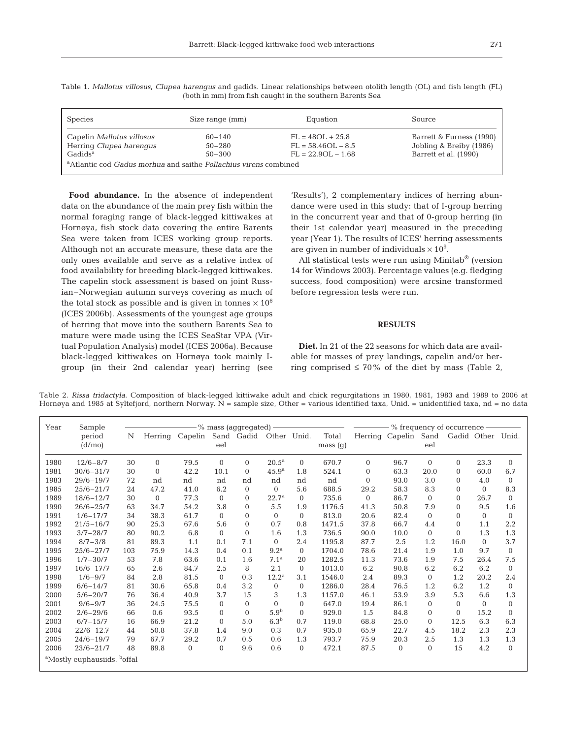| <b>Species</b>                                                                             | Size range (mm)                        | Equation                                                           | <b>Source</b>                                                                |  |  |  |  |  |  |
|--------------------------------------------------------------------------------------------|----------------------------------------|--------------------------------------------------------------------|------------------------------------------------------------------------------|--|--|--|--|--|--|
| Capelin Mallotus villosus<br>Herring Clupea harengus<br>$G$ adids <sup>a</sup>             | $60 - 140$<br>$50 - 280$<br>$50 - 300$ | $FL = 48OL + 25.8$<br>$FL = 58.46OL - 8.5$<br>$FL = 22.9OL - 1.68$ | Barrett & Furness (1990)<br>Jobling & Breiby (1986)<br>Barrett et al. (1990) |  |  |  |  |  |  |
| <sup>a</sup> Atlantic cod <i>Gadus morhua</i> and saithe <i>Pollachius virens</i> combined |                                        |                                                                    |                                                                              |  |  |  |  |  |  |

Table 1. *Mallotus villosus*, *Clupea harengus* and gadids. Linear relationships between otolith length (OL) and fish length (FL) (both in mm) from fish caught in the southern Barents Sea

**Food abundance.** In the absence of independent data on the abundance of the main prey fish within the normal foraging range of black-legged kittiwakes at Hornøya, fish stock data covering the entire Barents Sea were taken from ICES working group reports. Although not an accurate measure, these data are the only ones available and serve as a relative index of food availability for breeding black-legged kittiwakes. The capelin stock assessment is based on joint Russian–Norwegian autumn surveys covering as much of the total stock as possible and is given in tonnes  $\times 10^6$ (ICES 2006b). Assessments of the youngest age groups of herring that move into the southern Barents Sea to mature were made using the ICES SeaStar VPA (Virtual Population Analysis) model (ICES 2006a). Because black-legged kittiwakes on Hornøya took mainly Igroup (in their 2nd calendar year) herring (see

'Results'), 2 complementary indices of herring abundance were used in this study: that of I-group herring in the concurrent year and that of 0-group herring (in their 1st calendar year) measured in the preceding year (Year 1). The results of ICES' herring assessments are given in number of individuals  $\times 10^9$ .

All statistical tests were run using Minitab® (version 14 for Windows 2003). Percentage values (e.g. fledging success, food composition) were arcsine transformed before regression tests were run.

#### **RESULTS**

**Diet.** In 21 of the 22 seasons for which data are available for masses of prey landings, capelin and/or herring comprised  $\leq 70\%$  of the diet by mass (Table 2,

Table 2. *Rissa tridactyla*. Composition of black-legged kittiwake adult and chick regurgitations in 1980, 1981, 1983 and 1989 to 2006 at Hornøya and 1985 at Syltefjord, northern Norway. N = sample size, Other = various identified taxa, Unid. = unidentified taxa, nd = no data

| Year | Sample                                              |     | - % mass (aggregated) — |              |              |                |                   |              |                  | $%$ frequency of occurrence $-$ |                      |              |                   |          |                |
|------|-----------------------------------------------------|-----|-------------------------|--------------|--------------|----------------|-------------------|--------------|------------------|---------------------------------|----------------------|--------------|-------------------|----------|----------------|
|      | period<br>(d/m <sub>0</sub> )                       | N   | Herring                 | Capelin      | eel          | Sand Gadid     | Other Unid.       |              | Total<br>mass(g) |                                 | Herring Capelin Sand | eel          | Gadid Other Unid. |          |                |
| 1980 | $12/6 - 8/7$                                        | 30  | $\mathbf{0}$            | 79.5         | $\mathbf{0}$ | $\overline{0}$ | $20.5^{\rm a}$    | $\Omega$     | 670.7            | $\Omega$                        | 96.7                 | $\Omega$     | $\overline{0}$    | 23.3     | $\Omega$       |
| 1981 | $30/6 - 31/7$                                       | 30  | $\Omega$                | 42.2         | 10.1         | $\Omega$       | 45.9 <sup>a</sup> | 1.8          | 524.1            | $\Omega$                        | 63.3                 | 20.0         | $\Omega$          | 60.0     | 6.7            |
| 1983 | $29/6 - 19/7$                                       | 72  | nd                      | nd           | nd           | nd             | nd                | nd           | nd               | $\Omega$                        | 93.0                 | 3.0          | $\Omega$          | 4.0      | $\Omega$       |
| 1985 | $25/6 - 21/7$                                       | 24  | 47.2                    | 41.0         | 6.2          | $\overline{0}$ | $\Omega$          | 5.6          | 688.5            | 29.2                            | 58.3                 | 8.3          | $\Omega$          | $\Omega$ | 8.3            |
| 1989 | $18/6 - 12/7$                                       | 30  | $\mathbf{0}$            | 77.3         | $\mathbf{0}$ | $\overline{0}$ | $22.7^{\rm a}$    | $\Omega$     | 735.6            | $\Omega$                        | 86.7                 | $\Omega$     | $\mathbf{0}$      | 26.7     | $\Omega$       |
| 1990 | $26/6 - 25/7$                                       | 63  | 34.7                    | 54.2         | 3.8          | $\overline{0}$ | 5.5               | 1.9          | 1176.5           | 41.3                            | 50.8                 | 7.9          | $\Omega$          | 9.5      | 1.6            |
| 1991 | $1/6 - 17/7$                                        | 34  | 38.3                    | 61.7         | $\mathbf{0}$ | $\overline{0}$ | $\Omega$          | $\Omega$     | 813.0            | 20.6                            | 82.4                 | $\Omega$     | $\Omega$          | $\Omega$ | $\Omega$       |
| 1992 | $21/5 - 16/7$                                       | 90  | 25.3                    | 67.6         | 5.6          | $\overline{0}$ | 0.7               | 0.8          | 1471.5           | 37.8                            | 66.7                 | 4.4          | $\Omega$          | 1.1      | 2.2            |
| 1993 | $3/7 - 28/7$                                        | 80  | 90.2                    | 6.8          | $\mathbf{0}$ | $\overline{0}$ | 1.6               | 1.3          | 736.5            | 90.0                            | 10.0                 | $\Omega$     | $\Omega$          | 1.3      | 1.3            |
| 1994 | $8/7 - 3/8$                                         | 81  | 89.3                    | 1.1          | 0.1          | 7.1            | $\Omega$          | 2.4          | 1195.8           | 87.7                            | 2.5                  | 1.2          | 16.0              | $\Omega$ | 3.7            |
| 1995 | $25/6 - 27/7$                                       | 103 | 75.9                    | 14.3         | 0.4          | 0.1            | 9.2 <sup>a</sup>  | $\Omega$     | 1704.0           | 78.6                            | 21.4                 | 1.9          | 1.0               | 9.7      | $\Omega$       |
| 1996 | $1/7 - 30/7$                                        | 53  | 7.8                     | 63.6         | 0.1          | 1.6            | 7.1 <sup>a</sup>  | 20           | 1282.5           | 11.3                            | 73.6                 | 1.9          | 7.5               | 26.4     | 7.5            |
| 1997 | $16/6 - 17/7$                                       | 65  | 2.6                     | 84.7         | 2.5          | 8              | 2.1               | $\Omega$     | 1013.0           | 6.2                             | 90.8                 | 6.2          | 6.2               | 6.2      | $\Omega$       |
| 1998 | $1/6 - 9/7$                                         | 84  | 2.8                     | 81.5         | $\mathbf{0}$ | 0.3            | $12.2^{\rm a}$    | 3.1          | 1546.0           | 2.4                             | 89.3                 | $\Omega$     | 1.2               | 20.2     | 2.4            |
| 1999 | $6/6 - 14/7$                                        | 81  | 30.6                    | 65.8         | 0.4          | 3.2            | $\mathbf{0}$      | $\mathbf{0}$ | 1286.0           | 28.4                            | 76.5                 | 1.2          | 6.2               | 1.2      | $\overline{0}$ |
| 2000 | $5/6 - 20/7$                                        | 76  | 36.4                    | 40.9         | 3.7          | 15             | 3                 | 1.3          | 1157.0           | 46.1                            | 53.9                 | 3.9          | 5.3               | 6.6      | 1.3            |
| 2001 | $9/6 - 9/7$                                         | 36  | 24.5                    | 75.5         | $\Omega$     | $\Omega$       | $\theta$          | $\Omega$     | 647.0            | 19.4                            | 86.1                 | $\Omega$     | $\Omega$          | $\Omega$ | $\Omega$       |
| 2002 | $2/6 - 29/6$                                        | 66  | 0.6                     | 93.5         | $\mathbf{0}$ | $\overline{0}$ | 5.9 <sup>b</sup>  | $\mathbf{0}$ | 929.0            | 1.5                             | 84.8                 | $\mathbf{0}$ | $\Omega$          | 15.2     | $\Omega$       |
| 2003 | $6/7 - 15/7$                                        | 16  | 66.9                    | 21.2         | $\Omega$     | 5.0            | 6.3 <sup>b</sup>  | 0.7          | 119.0            | 68.8                            | 25.0                 | $\Omega$     | 12.5              | 6.3      | 6.3            |
| 2004 | $22/6 - 12.7$                                       | 44  | 50.8                    | 37.8         | 1.4          | 9.0            | 0.3               | 0.7          | 935.0            | 65.9                            | 22.7                 | 4.5          | 18.2              | 2.3      | 2.3            |
| 2005 | $24/6 - 19/7$                                       | 79  | 67.7                    | 29.2         | 0.7          | 0.5            | 0.6               | 1.3          | 793.7            | 75.9                            | 20.3                 | 2.5          | 1.3               | 1.3      | 1.3            |
| 2006 | $23/6 - 21/7$                                       | 48  | 89.8                    | $\mathbf{0}$ | $\mathbf{0}$ | 9.6            | 0.6               | $\mathbf{0}$ | 472.1            | 87.5                            | $\overline{0}$       | $\mathbf{0}$ | 15                | 4.2      | $\Omega$       |
|      | <sup>a</sup> Mostly euphausiids, <sup>b</sup> offal |     |                         |              |              |                |                   |              |                  |                                 |                      |              |                   |          |                |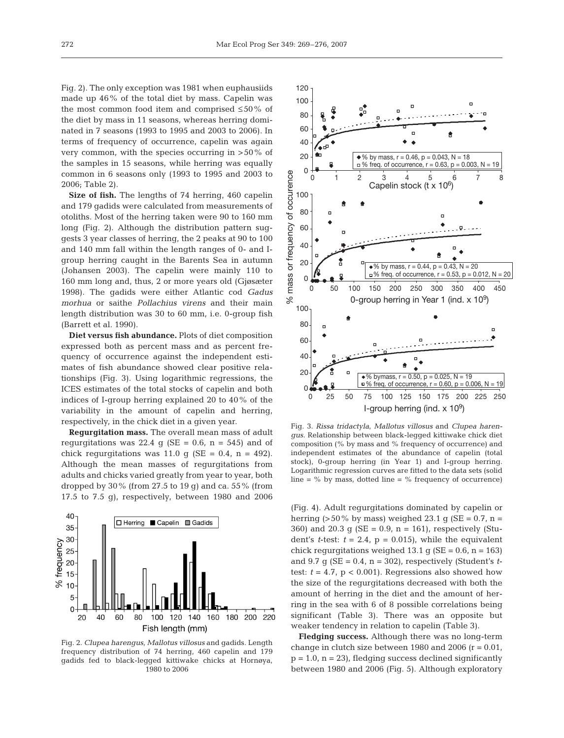Fig. 2). The only exception was 1981 when euphausiids made up 46% of the total diet by mass. Capelin was the most common food item and comprised ≤50% of the diet by mass in 11 seasons, whereas herring dominated in 7 seasons (1993 to 1995 and 2003 to 2006). In terms of frequency of occurrence, capelin was again very common, with the species occurring in >50% of the samples in 15 seasons, while herring was equally common in 6 seasons only (1993 to 1995 and 2003 to 2006; Table 2).

**Size of fish.** The lengths of 74 herring, 460 capelin and 179 gadids were calculated from measurements of otoliths. Most of the herring taken were 90 to 160 mm long (Fig. 2). Although the distribution pattern suggests 3 year classes of herring, the 2 peaks at 90 to 100 and 140 mm fall within the length ranges of 0- and Igroup herring caught in the Barents Sea in autumn (Johansen 2003). The capelin were mainly 110 to 160 mm long and, thus, 2 or more years old (Gjøsæter 1998). The gadids were either Atlantic cod *Gadus morhua* or saithe *Pollachius virens* and their main length distribution was 30 to 60 mm, i.e. 0-group fish (Barrett et al. 1990).

**Diet versus fish abundance.** Plots of diet composition expressed both as percent mass and as percent frequency of occurrence against the independent estimates of fish abundance showed clear positive relationships (Fig. 3). Using logarithmic regressions, the ICES estimates of the total stocks of capelin and both indices of I-group herring explained 20 to 40% of the variability in the amount of capelin and herring, respectively, in the chick diet in a given year.

**Regurgitation mass.** The overall mean mass of adult regurgitations was 22.4 g (SE =  $0.6$ , n =  $545$ ) and of chick regurgitations was 11.0 g (SE =  $0.4$ , n = 492). Although the mean masses of regurgitations from adults and chicks varied greatly from year to year, both dropped by  $30\%$  (from  $27.5$  to  $19$  g) and ca.  $55\%$  (from 17.5 to 7.5 g), respectively, between 1980 and 2006



Fig. 2. *Clupea harengus*, *Mallotus villosus* and gadids. Length frequency distribution of 74 herring, 460 capelin and 179 gadids fed to black-legged kittiwake chicks at Hornøya, 1980 to 2006



Fig. 3. *Rissa tridactyla*, *Mallotus villosus* and *Clupea harengus*. Relationship between black-legged kittiwake chick diet composition (% by mass and % frequency of occurrence) and independent estimates of the abundance of capelin (total stock), 0-group herring (in Year 1) and I-group herring. Logarithmic regression curves are fitted to the data sets (solid line =  $%$  by mass, dotted line =  $%$  frequency of occurrence)

(Fig. 4). Adult regurgitations dominated by capelin or herring ( $>50\%$  by mass) weighed 23.1 g (SE = 0.7, n = 360) and 20.3 g ( $SE = 0.9$ , n = 161), respectively (Student's *t*-test:  $t = 2.4$ ,  $p = 0.015$ , while the equivalent chick regurgitations weighed 13.1 g ( $SE = 0.6$ ,  $n = 163$ ) and  $9.7$  g (SE =  $0.4$ , n =  $302$ ), respectively (Student's ttest:  $t = 4.7$ ,  $p < 0.001$ ). Regressions also showed how the size of the regurgitations decreased with both the amount of herring in the diet and the amount of herring in the sea with 6 of 8 possible correlations being significant (Table 3). There was an opposite but weaker tendency in relation to capelin (Table 3).

**Fledging success.** Although there was no long-term change in clutch size between 1980 and 2006  $(r = 0.01,$  $p = 1.0$ ,  $n = 23$ ), fledging success declined significantly between 1980 and 2006 (Fig. 5). Although exploratory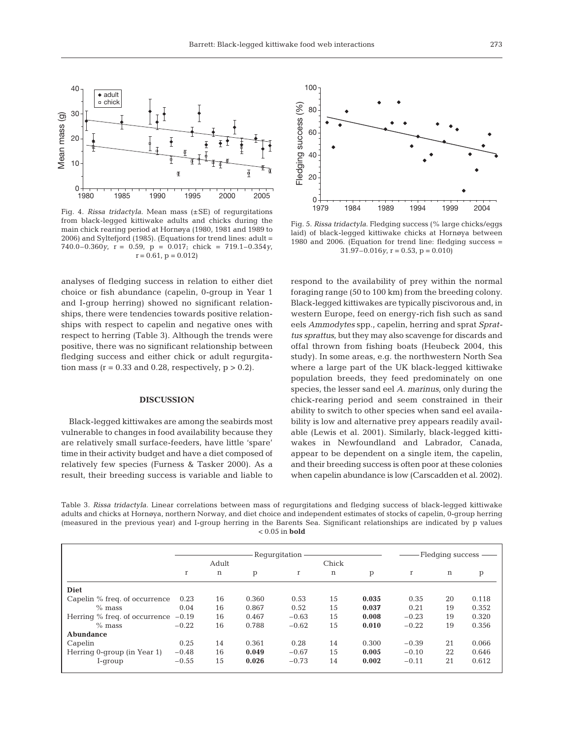

Fig. 4. *Rissa tridactyla*. Mean mass (±SE) of regurgitations from black-legged kittiwake adults and chicks during the main chick rearing period at Hornøya (1980, 1981 and 1989 to 2006) and Syltefjord (1985). (Equations for trend lines: adult = 740.0–0.360*y*, r = 0.59, p = 0.017; chick = 719.1–0.354*y*,  $r = 0.61$ ,  $p = 0.012$ 

analyses of fledging success in relation to either diet choice or fish abundance (capelin, 0-group in Year 1 and I-group herring) showed no significant relationships, there were tendencies towards positive relationships with respect to capelin and negative ones with respect to herring (Table 3). Although the trends were positive, there was no significant relationship between fledging success and either chick or adult regurgitation mass ( $r = 0.33$  and 0.28, respectively,  $p > 0.2$ ).

#### **DISCUSSION**

Black-legged kittiwakes are among the seabirds most vulnerable to changes in food availability because they are relatively small surface-feeders, have little 'spare' time in their activity budget and have a diet composed of relatively few species (Furness & Tasker 2000). As a result, their breeding success is variable and liable to



Fig. 5. *Rissa tridactyla*. Fledging success (% large chicks/eggs laid) of black-legged kittiwake chicks at Hornøya between 1980 and 2006. (Equation for trend line: fledging success =  $31.97 - 0.016y$ ,  $r = 0.53$ ,  $p = 0.010$ 

respond to the availability of prey within the normal foraging range (50 to 100 km) from the breeding colony. Black-legged kittiwakes are typically piscivorous and, in western Europe, feed on energy-rich fish such as sand eels *Ammodytes* spp., capelin, herring and sprat *Sprattus sprattus*, but they may also scavenge for discards and offal thrown from fishing boats (Heubeck 2004, this study). In some areas, e.g. the northwestern North Sea where a large part of the UK black-legged kittiwake population breeds, they feed predominately on one species, the lesser sand eel *A. marinus*, only during the chick-rearing period and seem constrained in their ability to switch to other species when sand eel availability is low and alternative prey appears readily available (Lewis et al. 2001). Similarly, black-legged kittiwakes in Newfoundland and Labrador, Canada, appear to be dependent on a single item, the capelin, and their breeding success is often poor at these colonies when capelin abundance is low (Carscadden et al. 2002).

Table 3. *Rissa tridactyla*. Linear correlations between mass of regurgitations and fledging success of black-legged kittiwake adults and chicks at Hornøya, northern Norway, and diet choice and independent estimates of stocks of capelin, 0-group herring (measured in the previous year) and I-group herring in the Barents Sea. Significant relationships are indicated by p values < 0.05 in **bold**

|                               | Requrgitation |       |       |             |     |       | Fledging success |    |       |  |  |
|-------------------------------|---------------|-------|-------|-------------|-----|-------|------------------|----|-------|--|--|
|                               |               | Adult | Chick |             |     |       |                  |    |       |  |  |
|                               | $\mathbf r$   | n     | p     | $\mathbf r$ | n   | p     | r                | n  | p     |  |  |
| <b>Diet</b>                   |               |       |       |             |     |       |                  |    |       |  |  |
| Capelin % freq. of occurrence | 0.23          | 16    | 0.360 | 0.53        | 15  | 0.035 | 0.35             | 20 | 0.118 |  |  |
| $%$ mass                      | 0.04          | 16    | 0.867 | 0.52        | 1.5 | 0.037 | 0.21             | 19 | 0.352 |  |  |
| Herring % freq. of occurrence | $-0.19$       | 16    | 0.467 | $-0.63$     | 15  | 0.008 | $-0.23$          | 19 | 0.320 |  |  |
| $%$ mass                      | $-0.22$       | 16    | 0.788 | $-0.62$     | 15  | 0.010 | $-0.22$          | 19 | 0.356 |  |  |
| Abundance                     |               |       |       |             |     |       |                  |    |       |  |  |
| Capelin                       | 0.25          | 14    | 0.361 | 0.28        | 14  | 0.300 | $-0.39$          | 21 | 0.066 |  |  |
| Herring 0-group (in Year 1)   | $-0.48$       | 16    | 0.049 | $-0.67$     | 15  | 0.005 | $-0.10$          | 22 | 0.646 |  |  |
| I-group                       | $-0.55$       | 15    | 0.026 | $-0.73$     | 14  | 0.002 | $-0.11$          | 21 | 0.612 |  |  |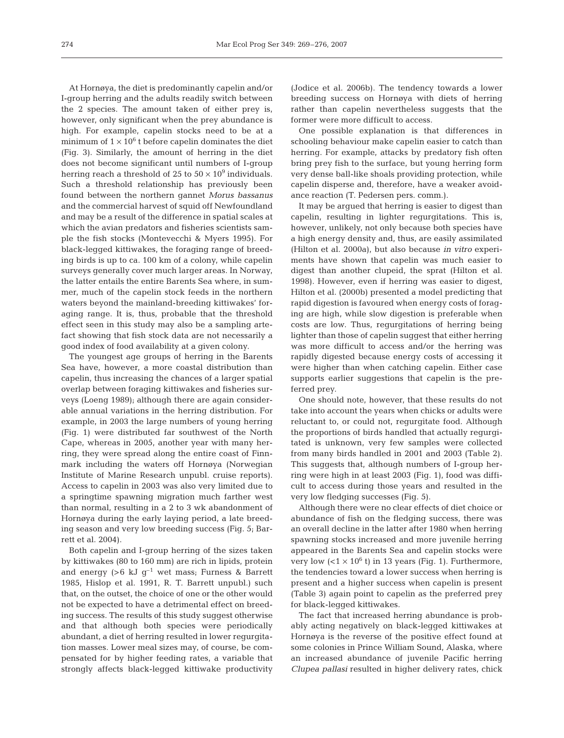At Hornøya, the diet is predominantly capelin and/or I-group herring and the adults readily switch between the 2 species. The amount taken of either prey is, however, only significant when the prey abundance is high. For example, capelin stocks need to be at a minimum of  $1 \times 10^6$  t before capelin dominates the diet (Fig. 3). Similarly, the amount of herring in the diet does not become significant until numbers of I-group herring reach a threshold of 25 to  $50 \times 10^9$  individuals. Such a threshold relationship has previously been found between the northern gannet *Morus bassanus* and the commercial harvest of squid off Newfoundland and may be a result of the difference in spatial scales at which the avian predators and fisheries scientists sample the fish stocks (Montevecchi & Myers 1995). For black-legged kittiwakes, the foraging range of breeding birds is up to ca. 100 km of a colony, while capelin surveys generally cover much larger areas. In Norway, the latter entails the entire Barents Sea where, in summer, much of the capelin stock feeds in the northern waters beyond the mainland-breeding kittiwakes' foraging range. It is, thus, probable that the threshold effect seen in this study may also be a sampling artefact showing that fish stock data are not necessarily a good index of food availability at a given colony.

The youngest age groups of herring in the Barents Sea have, however, a more coastal distribution than capelin, thus increasing the chances of a larger spatial overlap between foraging kittiwakes and fisheries surveys (Loeng 1989); although there are again considerable annual variations in the herring distribution. For example, in 2003 the large numbers of young herring (Fig. 1) were distributed far southwest of the North Cape, whereas in 2005, another year with many herring, they were spread along the entire coast of Finnmark including the waters off Hornøya (Norwegian Institute of Marine Research unpubl. cruise reports). Access to capelin in 2003 was also very limited due to a springtime spawning migration much farther west than normal, resulting in a 2 to 3 wk abandonment of Hornøya during the early laying period, a late breeding season and very low breeding success (Fig. 5; Barrett et al. 2004).

Both capelin and I-group herring of the sizes taken by kittiwakes (80 to 160 mm) are rich in lipids, protein and energy  $(>6 \text{ kJ g}^{-1}$  wet mass; Furness & Barrett 1985, Hislop et al. 1991, R. T. Barrett unpubl.) such that, on the outset, the choice of one or the other would not be expected to have a detrimental effect on breeding success. The results of this study suggest otherwise and that although both species were periodically abundant, a diet of herring resulted in lower regurgitation masses. Lower meal sizes may, of course, be compensated for by higher feeding rates, a variable that strongly affects black-legged kittiwake productivity (Jodice et al. 2006b). The tendency towards a lower breeding success on Hornøya with diets of herring rather than capelin nevertheless suggests that the former were more difficult to access.

One possible explanation is that differences in schooling behaviour make capelin easier to catch than herring. For example, attacks by predatory fish often bring prey fish to the surface, but young herring form very dense ball-like shoals providing protection, while capelin disperse and, therefore, have a weaker avoidance reaction (T. Pedersen pers. comm.).

It may be argued that herring is easier to digest than capelin, resulting in lighter regurgitations. This is, however, unlikely, not only because both species have a high energy density and, thus, are easily assimilated (Hilton et al. 2000a), but also because *in vitro* experiments have shown that capelin was much easier to digest than another clupeid, the sprat (Hilton et al. 1998). However, even if herring was easier to digest, Hilton et al. (2000b) presented a model predicting that rapid digestion is favoured when energy costs of foraging are high, while slow digestion is preferable when costs are low. Thus, regurgitations of herring being lighter than those of capelin suggest that either herring was more difficult to access and/or the herring was rapidly digested because energy costs of accessing it were higher than when catching capelin. Either case supports earlier suggestions that capelin is the preferred prey.

One should note, however, that these results do not take into account the years when chicks or adults were reluctant to, or could not, regurgitate food. Although the proportions of birds handled that actually regurgitated is unknown, very few samples were collected from many birds handled in 2001 and 2003 (Table 2). This suggests that, although numbers of I-group herring were high in at least 2003 (Fig. 1), food was difficult to access during those years and resulted in the very low fledging successes (Fig. 5).

Although there were no clear effects of diet choice or abundance of fish on the fledging success, there was an overall decline in the latter after 1980 when herring spawning stocks increased and more juvenile herring appeared in the Barents Sea and capelin stocks were very low  $(< 1 \times 10^6$  t) in 13 years (Fig. 1). Furthermore, the tendencies toward a lower success when herring is present and a higher success when capelin is present (Table 3) again point to capelin as the preferred prey for black-legged kittiwakes.

The fact that increased herring abundance is probably acting negatively on black-legged kittiwakes at Hornøya is the reverse of the positive effect found at some colonies in Prince William Sound, Alaska, where an increased abundance of juvenile Pacific herring *Clupea pallasi* resulted in higher delivery rates, chick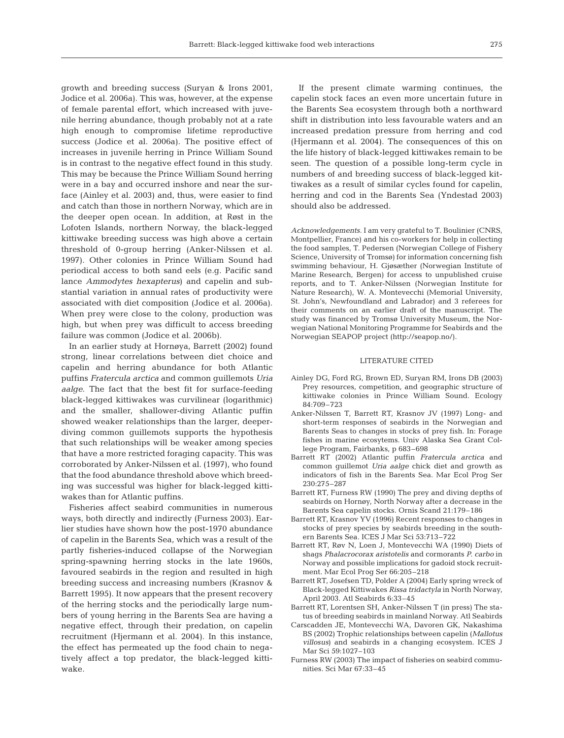growth and breeding success (Suryan & Irons 2001, Jodice et al. 2006a). This was, however, at the expense of female parental effort, which increased with juvenile herring abundance, though probably not at a rate high enough to compromise lifetime reproductive success (Jodice et al. 2006a). The positive effect of increases in juvenile herring in Prince William Sound is in contrast to the negative effect found in this study. This may be because the Prince William Sound herring were in a bay and occurred inshore and near the surface (Ainley et al. 2003) and, thus, were easier to find and catch than those in northern Norway, which are in the deeper open ocean. In addition, at Røst in the Lofoten Islands, northern Norway, the black-legged kittiwake breeding success was high above a certain threshold of 0-group herring (Anker-Nilssen et al. 1997). Other colonies in Prince William Sound had periodical access to both sand eels (e.g. Pacific sand lance *Ammodytes hexapterus*) and capelin and substantial variation in annual rates of productivity were associated with diet composition (Jodice et al. 2006a). When prey were close to the colony, production was high, but when prey was difficult to access breeding failure was common (Jodice et al. 2006b).

In an earlier study at Hornøya, Barrett (2002) found strong, linear correlations between diet choice and capelin and herring abundance for both Atlantic puffins *Fratercula arctica* and common guillemots *Uria aalge*. The fact that the best fit for surface-feeding black-legged kittiwakes was curvilinear (logarithmic) and the smaller, shallower-diving Atlantic puffin showed weaker relationships than the larger, deeperdiving common guillemots supports the hypothesis that such relationships will be weaker among species that have a more restricted foraging capacity. This was corroborated by Anker-Nilssen et al. (1997), who found that the food abundance threshold above which breeding was successful was higher for black-legged kittiwakes than for Atlantic puffins.

Fisheries affect seabird communities in numerous ways, both directly and indirectly (Furness 2003). Earlier studies have shown how the post-1970 abundance of capelin in the Barents Sea, which was a result of the partly fisheries-induced collapse of the Norwegian spring-spawning herring stocks in the late 1960s, favoured seabirds in the region and resulted in high breeding success and increasing numbers (Krasnov & Barrett 1995). It now appears that the present recovery of the herring stocks and the periodically large numbers of young herring in the Barents Sea are having a negative effect, through their predation, on capelin recruitment (Hjermann et al. 2004). In this instance, the effect has permeated up the food chain to negatively affect a top predator, the black-legged kittiwake.

If the present climate warming continues, the capelin stock faces an even more uncertain future in the Barents Sea ecosystem through both a northward shift in distribution into less favourable waters and an increased predation pressure from herring and cod (Hjermann et al. 2004). The consequences of this on the life history of black-legged kittiwakes remain to be seen. The question of a possible long-term cycle in numbers of and breeding success of black-legged kittiwakes as a result of similar cycles found for capelin, herring and cod in the Barents Sea (Yndestad 2003) should also be addressed.

*Acknowledgements.* I am very grateful to T. Boulinier (CNRS, Montpellier, France) and his co-workers for help in collecting the food samples, T. Pedersen (Norwegian College of Fishery Science, University of Tromsø) for information concerning fish swimming behaviour, H. Gjøsæther (Norwegian Institute of Marine Research, Bergen) for access to unpublished cruise reports, and to T. Anker-Nilssen (Norwegian Institute for Nature Research), W. A. Montevecchi (Memorial University, St. John's, Newfoundland and Labrador) and 3 referees for their comments on an earlier draft of the manuscript. The study was financed by Tromsø University Museum, the Norwegian National Monitoring Programme for Seabirds and the Norwegian SEAPOP project (http://seapop.no/).

## LITERATURE CITED

- Ainley DG, Ford RG, Brown ED, Suryan RM, Irons DB (2003) Prey resources, competition, and geographic structure of kittiwake colonies in Prince William Sound. Ecology 84:709–723
- Anker-Nilssen T, Barrett RT, Krasnov JV (1997) Long- and short-term responses of seabirds in the Norwegian and Barents Seas to changes in stocks of prey fish. In: Forage fishes in marine ecosytems. Univ Alaska Sea Grant College Program, Fairbanks, p 683–698
- Barrett RT (2002) Atlantic puffin *Fratercula arctica* and common guillemot *Uria aalge* chick diet and growth as indicators of fish in the Barents Sea. Mar Ecol Prog Ser 230:275–287
- Barrett RT, Furness RW (1990) The prey and diving depths of seabirds on Hornøy, North Norway after a decrease in the Barents Sea capelin stocks. Ornis Scand 21:179–186
- Barrett RT, Krasnov YV (1996) Recent responses to changes in stocks of prey species by seabirds breeding in the southern Barents Sea. ICES J Mar Sci 53:713–722
- Barrett RT, Røv N, Loen J, Montevecchi WA (1990) Diets of shags *Phalacrocorax aristotelis* and cormorants *P. carbo* in Norway and possible implications for gadoid stock recruitment. Mar Ecol Prog Ser 66:205–218
- Barrett RT, Josefsen TD, Polder A (2004) Early spring wreck of Black-legged Kittiwakes *Rissa tridactyla* in North Norway, April 2003. Atl Seabirds 6:33–45
- Barrett RT, Lorentsen SH, Anker-Nilssen T (in press) The status of breeding seabirds in mainland Norway. Atl Seabirds
- Carscadden JE, Montevecchi WA, Davoren GK, Nakashima BS (2002) Trophic relationships between capelin (*Mallotus villosus*) and seabirds in a changing ecosystem. ICES J Mar Sci 59:1027–103
- Furness RW (2003) The impact of fisheries on seabird communities. Sci Mar 67:33–45